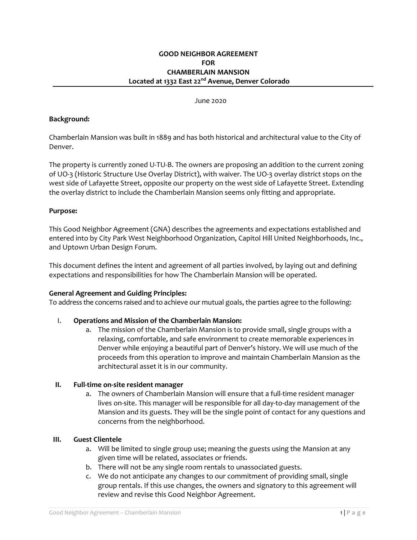### June 2020

### **Background:**

Chamberlain Mansion was built in 1889 and has both historical and architectural value to the City of Denver.

The property is currently zoned U-TU-B. The owners are proposing an addition to the current zoning of UO‐3 (Historic Structure Use Overlay District), with waiver. The UO‐3 overlay district stops on the west side of Lafayette Street, opposite our property on the west side of Lafayette Street. Extending the overlay district to include the Chamberlain Mansion seems only fitting and appropriate.

### **Purpose:**

This Good Neighbor Agreement (GNA) describes the agreements and expectations established and entered into by City Park West Neighborhood Organization, Capitol Hill United Neighborhoods, Inc., and Uptown Urban Design Forum.

This document defines the intent and agreement of all parties involved, by laying out and defining expectations and responsibilities for how The Chamberlain Mansion will be operated.

#### **General Agreement and Guiding Principles:**

To address the concerns raised and to achieve our mutual goals, the parties agree to the following:

## I. **Operations and Mission of the Chamberlain Mansion:**

a. The mission of the Chamberlain Mansion is to provide small, single groups with a relaxing, comfortable, and safe environment to create memorable experiences in Denver while enjoying a beautiful part of Denver's history. We will use much of the proceeds from this operation to improve and maintain Chamberlain Mansion as the architectural asset it is in our community.

## **II. Full‐time on‐site resident manager**

a. The owners of Chamberlain Mansion will ensure that a full-time resident manager lives on‐site. This manager will be responsible for all day‐to‐day management of the Mansion and its guests. They will be the single point of contact for any questions and concerns from the neighborhood.

#### **III. Guest Clientele**

- a. Will be limited to single group use; meaning the guests using the Mansion at any given time will be related, associates or friends.
- b. There will not be any single room rentals to unassociated guests.
- c. We do not anticipate any changes to our commitment of providing small, single group rentals. If this use changes, the owners and signatory to this agreement will review and revise this Good Neighbor Agreement.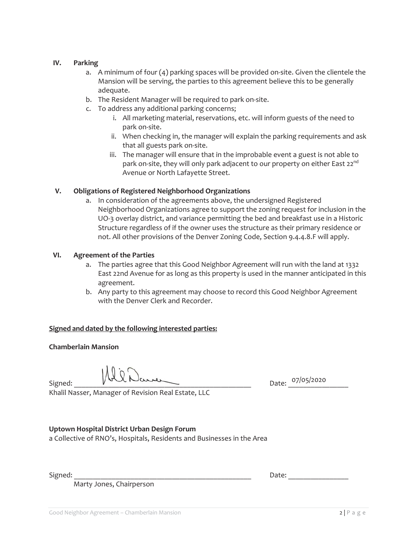# **IV. Parking**

- a. A minimum of four  $(4)$  parking spaces will be provided on-site. Given the clientele the Mansion will be serving, the parties to this agreement believe this to be generally adequate.
- b. The Resident Manager will be required to park on-site.
- c. To address any additional parking concerns;
	- i. All marketing material, reservations, etc. will inform guests of the need to park on-site.
	- ii. When checking in, the manager will explain the parking requirements and ask that all guests park on-site.
	- iii. The manager will ensure that in the improbable event a guest is not able to park on-site, they will only park adjacent to our property on either East 22<sup>nd</sup> Avenue or North Lafayette Street.

# **V. Obligations of Registered Neighborhood Organizations**

a. In consideration of the agreements above, the undersigned Registered Neighborhood Organizations agree to support the zoning request for inclusion in the UO-3 overlay district, and variance permitting the bed and breakfast use in a Historic Structure regardless of if the owner uses the structure as their primary residence or not. All other provisions of the Denver Zoning Code, Section 9.4.4.8.F will apply.

# **VI. Agreement of the Parties**

- a. The parties agree that this Good Neighbor Agreement will run with the land at 1332 East 22nd Avenue for as long as this property is used in the manner anticipated in this agreement.
- b. Any party to this agreement may choose to record this Good Neighbor Agreement with the Denver Clerk and Recorder.

# **Signed and dated by the following interested parties:**

# **Chamberlain Mansion**

 $Signed: \begin{equation*} \begin{equation*} \begin{equation*} \begin{bmatrix} \text{S}} \end{bmatrix} & \text{D} \end{equation*} \end{equation*} \begin{equation*} \begin{bmatrix} \text{S}} \end{bmatrix} & \text{D} \end{equation*} \end{equation*} \begin{equation*} \begin{bmatrix} \text{S}} \end{bmatrix} & \text{D} \end{equation*} \begin{equation*} \begin{bmatrix} \text{S}} \end{bmatrix} & \text{D} \end{equation*} \begin{equation*} \begin{bmatrix} \text{S}} \end{bmatrix} & \text{D} \end{equation*} \begin{equ$ 

Khalil Nasser, Manager of Revision Real Estate, LLC

# **Uptown Hospital District Urban Design Forum**

a Collective of RNO's, Hospitals, Residents and Businesses in the Area

Marty Jones, Chairperson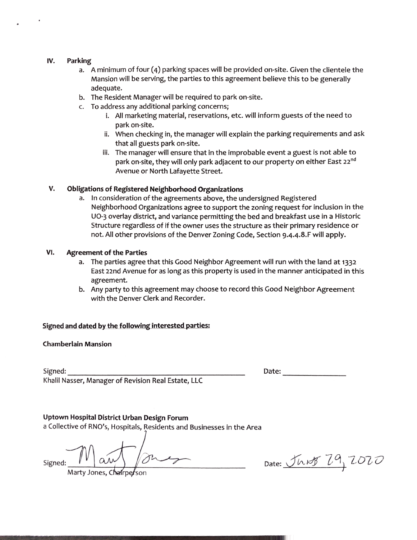#### IV. Parking

- a. A minimum of four (4) parking spaces will be provided on-site. Given the clientele the Mansion will be serving, the parties to this agreement believe this to be generally adequate.
- b. The Resident Manager will be required to park on-site.
- c. To address any additional parking concerns;
	- i. All marketing material, reservations, etc. will inform guests of the need to park on-site.
	- ii. When checking in, the manager will explain the parking requirements and ask that all guests park on-site.
	- iii. The manager will ensure that in the improbable event a guest is not able to park on-site, they will only park adjacent to our property on either East 22<sup>nd</sup> Avenue or North Lafayette Street.

#### V. **Obligations of Registered Neighborhood Organizations**

a. In consideration of the agreements above, the undersigned Registered Neighborhood Organizations agree to support the zoning request for inclusion in the UO-3 overlay district, and variance permitting the bed and breakfast use in a Historic Structure regardless of if the owner uses the structure as their primary residence or not. All other provisions of the Denver Zoning Code, Section 9.4.4.8.F will apply.

#### VI. **Agreement of the Parties**

- a. The parties agree that this Good Neighbor Agreement will run with the land at 1332 East 22nd Avenue for as long as this property is used in the manner anticipated in this agreement.
- b. Any party to this agreement may choose to record this Good Neighbor Agreement with the Denver Clerk and Recorder.

## Signed and dated by the following interested parties:

## **Chamberlain Mansion**

Signed:

Date:

Khalil Nasser, Manager of Revision Real Estate, LLC

## Uptown Hospital District Urban Design Forum

a Collective of RNO's, Hospitals, Residents and Businesses in the Area

Signed:

Marty Jones, Chairperson

Date: JUNS 29, 2020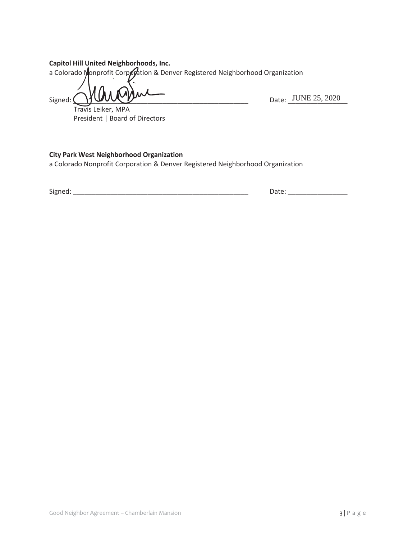# Capitol Hill United Neighborhoods, Inc.

a Colorado Monprofit Corporation & Denver Registered Neighborhood Organization

Signed: (

Date: JUNE 25, 2020 

Travis Leiker, MPA President | Board of Directors

# **City Park West Neighborhood Organization**

a Colorado Nonprofit Corporation & Denver Registered Neighborhood Organization

Signed: The contract of the contract of the contract of the contract of the contract of the contract of the contract of the contract of the contract of the contract of the contract of the contract of the contract of the co

Date: and the state of the state of the state of the state of the state of the state of the state of the state